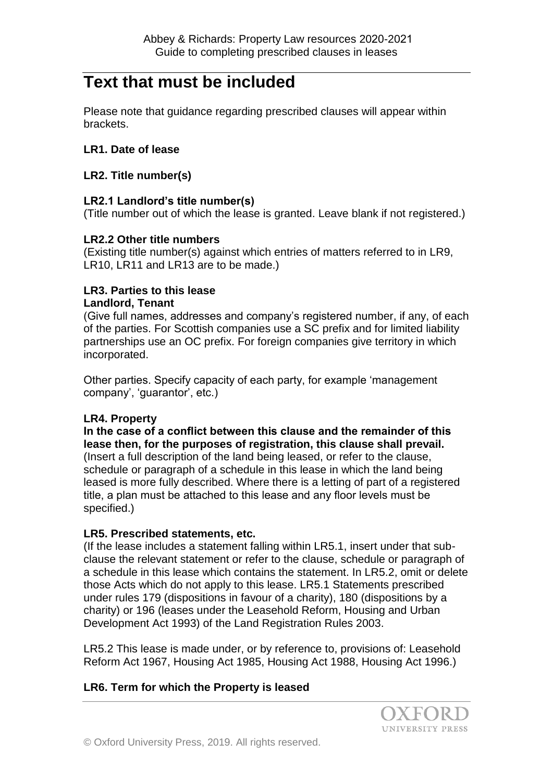# **Text that must be included**

Please note that guidance regarding prescribed clauses will appear within brackets.

## **LR1. Date of lease**

### **LR2. Title number(s)**

## **LR2.1 Landlord's title number(s)**

(Title number out of which the lease is granted. Leave blank if not registered.)

#### **LR2.2 Other title numbers**

(Existing title number(s) against which entries of matters referred to in LR9, LR10, LR11 and LR13 are to be made.)

# **LR3. Parties to this lease Landlord, Tenant**

(Give full names, addresses and company's registered number, if any, of each of the parties. For Scottish companies use a SC prefix and for limited liability partnerships use an OC prefix. For foreign companies give territory in which incorporated.

Other parties. Specify capacity of each party, for example 'management company', 'guarantor', etc.)

# **LR4. Property**

**In the case of a conflict between this clause and the remainder of this lease then, for the purposes of registration, this clause shall prevail.** (Insert a full description of the land being leased, or refer to the clause, schedule or paragraph of a schedule in this lease in which the land being leased is more fully described. Where there is a letting of part of a registered title, a plan must be attached to this lease and any floor levels must be specified.)

# **LR5. Prescribed statements, etc.**

(If the lease includes a statement falling within LR5.1, insert under that subclause the relevant statement or refer to the clause, schedule or paragraph of a schedule in this lease which contains the statement. In LR5.2, omit or delete those Acts which do not apply to this lease. LR5.1 Statements prescribed under rules 179 (dispositions in favour of a charity), 180 (dispositions by a charity) or 196 (leases under the Leasehold Reform, Housing and Urban Development Act 1993) of the Land Registration Rules 2003.

LR5.2 This lease is made under, or by reference to, provisions of: Leasehold Reform Act 1967, Housing Act 1985, Housing Act 1988, Housing Act 1996.)

# **LR6. Term for which the Property is leased**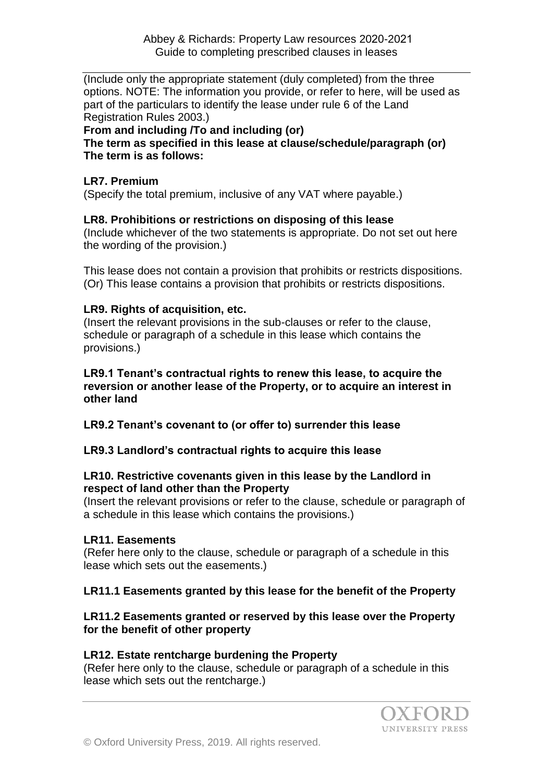(Include only the appropriate statement (duly completed) from the three options. NOTE: The information you provide, or refer to here, will be used as part of the particulars to identify the lease under rule 6 of the Land Registration Rules 2003.)

### **From and including /To and including (or)**

**The term as specified in this lease at clause/schedule/paragraph (or) The term is as follows:**

#### **LR7. Premium**

(Specify the total premium, inclusive of any VAT where payable.)

## **LR8. Prohibitions or restrictions on disposing of this lease**

(Include whichever of the two statements is appropriate. Do not set out here the wording of the provision.)

This lease does not contain a provision that prohibits or restricts dispositions. (Or) This lease contains a provision that prohibits or restricts dispositions.

## **LR9. Rights of acquisition, etc.**

(Insert the relevant provisions in the sub-clauses or refer to the clause, schedule or paragraph of a schedule in this lease which contains the provisions.)

**LR9.1 Tenant's contractual rights to renew this lease, to acquire the reversion or another lease of the Property, or to acquire an interest in other land**

**LR9.2 Tenant's covenant to (or offer to) surrender this lease**

# **LR9.3 Landlord's contractual rights to acquire this lease**

#### **LR10. Restrictive covenants given in this lease by the Landlord in respect of land other than the Property**

(Insert the relevant provisions or refer to the clause, schedule or paragraph of a schedule in this lease which contains the provisions.)

# **LR11. Easements**

(Refer here only to the clause, schedule or paragraph of a schedule in this lease which sets out the easements.)

# **LR11.1 Easements granted by this lease for the benefit of the Property**

## **LR11.2 Easements granted or reserved by this lease over the Property for the benefit of other property**

#### **LR12. Estate rentcharge burdening the Property**

(Refer here only to the clause, schedule or paragraph of a schedule in this lease which sets out the rentcharge.)

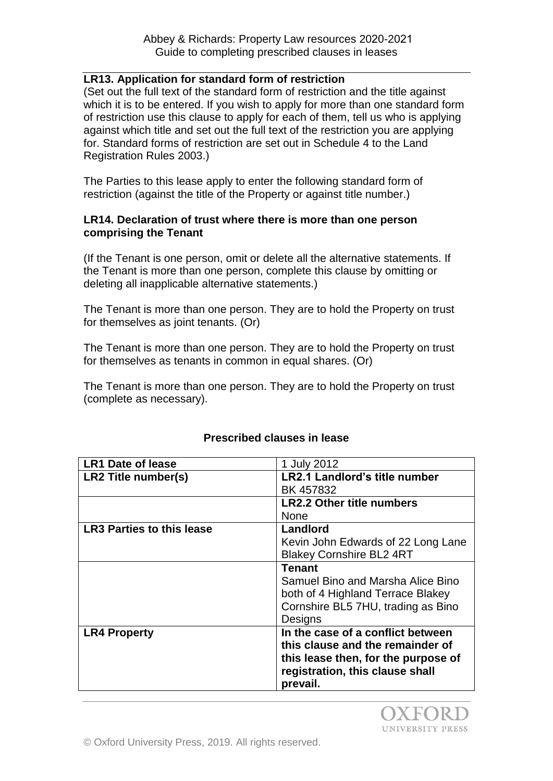## **LR13. Application for standard form of restriction**

(Set out the full text of the standard form of restriction and the title against which it is to be entered. If you wish to apply for more than one standard form of restriction use this clause to apply for each of them, tell us who is applying against which title and set out the full text of the restriction you are applying for. Standard forms of restriction are set out in Schedule 4 to the Land Registration Rules 2003.)

The Parties to this lease apply to enter the following standard form of restriction (against the title of the Property or against title number.)

#### **LR14. Declaration of trust where there is more than one person comprising the Tenant**

(If the Tenant is one person, omit or delete all the alternative statements. If the Tenant is more than one person, complete this clause by omitting or deleting all inapplicable alternative statements.)

The Tenant is more than one person. They are to hold the Property on trust for themselves as joint tenants. (Or)

The Tenant is more than one person. They are to hold the Property on trust for themselves as tenants in common in equal shares. (Or)

The Tenant is more than one person. They are to hold the Property on trust (complete as necessary).

| 1 July 2012                          |
|--------------------------------------|
| <b>LR2.1 Landlord's title number</b> |
| BK 457832                            |
| <b>LR2.2 Other title numbers</b>     |
| <b>None</b>                          |
| Landlord                             |
| Kevin John Edwards of 22 Long Lane   |
| <b>Blakey Cornshire BL2 4RT</b>      |
| <b>Tenant</b>                        |
| Samuel Bino and Marsha Alice Bino    |
| both of 4 Highland Terrace Blakey    |
| Cornshire BL5 7HU, trading as Bino   |
| Designs                              |
| In the case of a conflict between    |
| this clause and the remainder of     |
| this lease then, for the purpose of  |
| registration, this clause shall      |
| prevail.                             |
|                                      |

# **Prescribed clauses in lease**

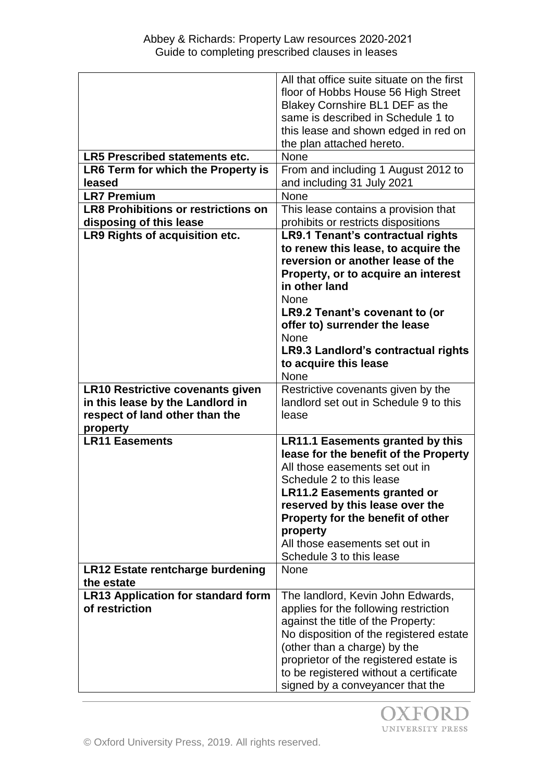|                                                             | All that office suite situate on the first<br>floor of Hobbs House 56 High Street |
|-------------------------------------------------------------|-----------------------------------------------------------------------------------|
|                                                             | Blakey Cornshire BL1 DEF as the                                                   |
|                                                             | same is described in Schedule 1 to                                                |
|                                                             | this lease and shown edged in red on                                              |
|                                                             | the plan attached hereto.                                                         |
| <b>LR5 Prescribed statements etc.</b>                       | None                                                                              |
| LR6 Term for which the Property is                          | From and including 1 August 2012 to                                               |
| leased<br><b>LR7 Premium</b>                                | and including 31 July 2021<br>None                                                |
| <b>LR8 Prohibitions or restrictions on</b>                  | This lease contains a provision that                                              |
| disposing of this lease                                     | prohibits or restricts dispositions                                               |
| LR9 Rights of acquisition etc.                              | <b>LR9.1 Tenant's contractual rights</b>                                          |
|                                                             | to renew this lease, to acquire the                                               |
|                                                             | reversion or another lease of the                                                 |
|                                                             | Property, or to acquire an interest                                               |
|                                                             | in other land                                                                     |
|                                                             | <b>None</b>                                                                       |
|                                                             | LR9.2 Tenant's covenant to (or                                                    |
|                                                             | offer to) surrender the lease                                                     |
|                                                             | <b>None</b>                                                                       |
|                                                             | LR9.3 Landlord's contractual rights                                               |
|                                                             | to acquire this lease                                                             |
|                                                             | None                                                                              |
| <b>LR10 Restrictive covenants given</b>                     | Restrictive covenants given by the                                                |
|                                                             |                                                                                   |
| in this lease by the Landlord in                            | landlord set out in Schedule 9 to this                                            |
| respect of land other than the                              | lease                                                                             |
| property<br><b>LR11 Easements</b>                           |                                                                                   |
|                                                             | <b>LR11.1 Easements granted by this</b><br>lease for the benefit of the Property  |
|                                                             | All those easements set out in                                                    |
|                                                             | Schedule 2 to this lease                                                          |
|                                                             | <b>LR11.2 Easements granted or</b>                                                |
|                                                             | reserved by this lease over the                                                   |
|                                                             | Property for the benefit of other                                                 |
|                                                             | property                                                                          |
|                                                             | All those easements set out in                                                    |
|                                                             | Schedule 3 to this lease                                                          |
| <b>LR12 Estate rentcharge burdening</b>                     | <b>None</b>                                                                       |
| the estate                                                  | The landlord, Kevin John Edwards,                                                 |
| <b>LR13 Application for standard form</b><br>of restriction | applies for the following restriction                                             |
|                                                             | against the title of the Property:                                                |
|                                                             | No disposition of the registered estate                                           |
|                                                             | (other than a charge) by the                                                      |
|                                                             | proprietor of the registered estate is                                            |
|                                                             | to be registered without a certificate<br>signed by a conveyancer that the        |